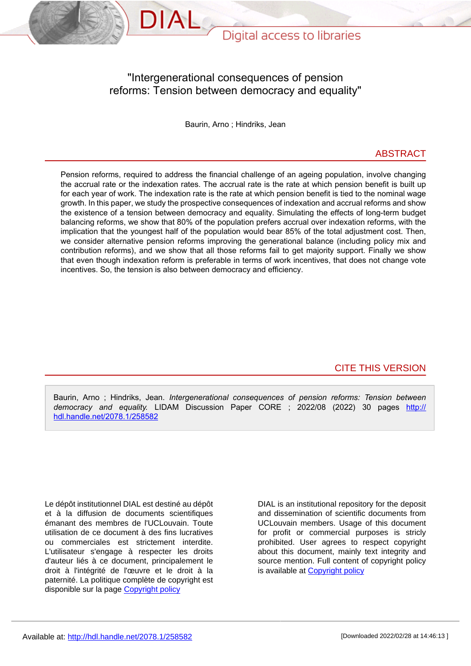

### "Intergenerational consequences of pension reforms: Tension between democracy and equality"

Baurin, Arno ; Hindriks, Jean

#### ABSTRACT

Pension reforms, required to address the financial challenge of an ageing population, involve changing the accrual rate or the indexation rates. The accrual rate is the rate at which pension benefit is built up for each year of work. The indexation rate is the rate at which pension benefit is tied to the nominal wage growth. In this paper, we study the prospective consequences of indexation and accrual reforms and show the existence of a tension between democracy and equality. Simulating the effects of long-term budget balancing reforms, we show that 80% of the population prefers accrual over indexation reforms, with the implication that the youngest half of the population would bear 85% of the total adjustment cost. Then, we consider alternative pension reforms improving the generational balance (including policy mix and contribution reforms), and we show that all those reforms fail to get majority support. Finally we show that even though indexation reform is preferable in terms of work incentives, that does not change vote incentives. So, the tension is also between democracy and efficiency.

CITE THIS VERSION

Baurin, Arno ; Hindriks, Jean. *Intergenerational consequences of pension reforms: Tension between democracy and equality.* LIDAM Discussion Paper CORE ; 2022/08 (2022) 30 pages http:// hdl.handle.net/2078.1/258582

Le dépôt institutionnel DIAL est destiné au dépôt et à la diffusion de documents scientifiques émanant des membres de l'UCLouvain. Toute utilisation de ce document à des fins lucratives ou commerciales est strictement interdite. L'utilisateur s'engage à respecter les droits d'auteur liés à ce document, principalement le droit à l'intégrité de l'œuvre et le droit à la paternité. La politique complète de copyright est disponible sur la page [Copyright policy](https://hdl.handle.net/2078/copyright_policy)

DIAL is an institutional repository for the deposit and dissemination of scientific documents from UCLouvain members. Usage of this document for profit or commercial purposes is stricly prohibited. User agrees to respect copyright about this document, mainly text integrity and source mention. Full content of copyright policy is available at [Copyright policy](https://hdl.handle.net/2078/copyright_policy)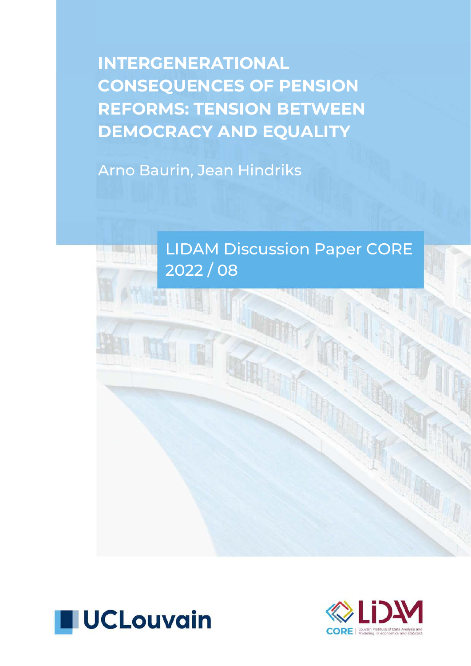INTERGENERATIONAL CONSEQUENCES OF PENSION REFORMS: TENSION BETWEEN DEMOCRACY AND EQUALITY

Arno Baurin, Jean Hindriks





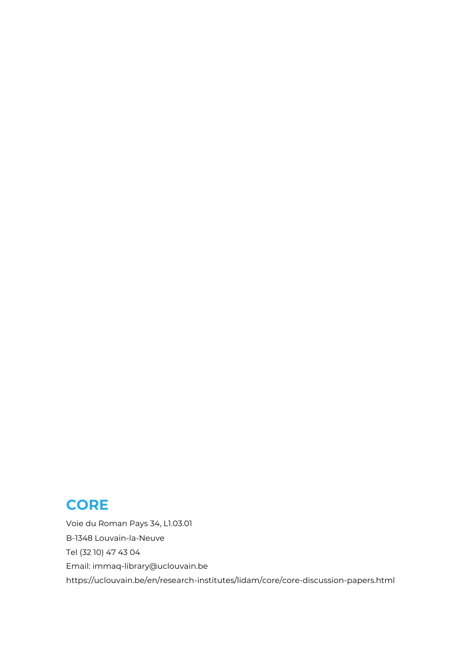## **CORE**

Voie du Roman Pays 34, L1.03.01 B-1348 Louvain-la-Neuve Tel (32 10) 47 43 04 Email[: immaq-library@uclouvain.be](mailto:immaq-library%40uclouvain.be?subject=) <https://uclouvain.be/en/research-institutes/lidam/core/core-discussion-papers.html>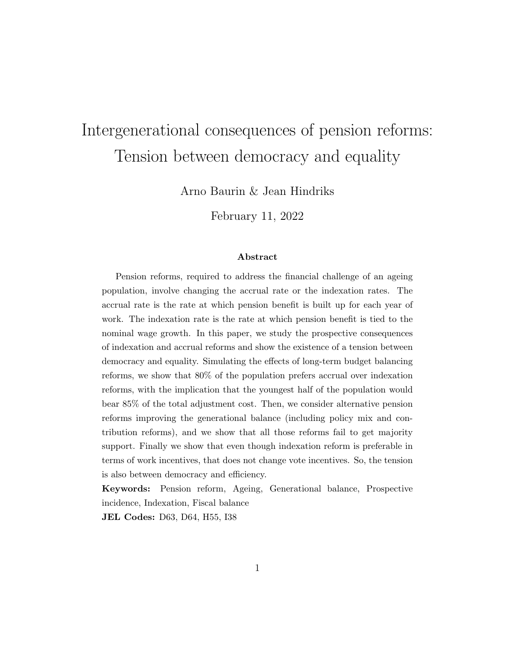# Intergenerational consequences of pension reforms: Tension between democracy and equality

Arno Baurin & Jean Hindriks

February 11, 2022

#### Abstract

Pension reforms, required to address the financial challenge of an ageing population, involve changing the accrual rate or the indexation rates. The accrual rate is the rate at which pension benefit is built up for each year of work. The indexation rate is the rate at which pension benefit is tied to the nominal wage growth. In this paper, we study the prospective consequences of indexation and accrual reforms and show the existence of a tension between democracy and equality. Simulating the effects of long-term budget balancing reforms, we show that 80% of the population prefers accrual over indexation reforms, with the implication that the youngest half of the population would bear 85% of the total adjustment cost. Then, we consider alternative pension reforms improving the generational balance (including policy mix and contribution reforms), and we show that all those reforms fail to get majority support. Finally we show that even though indexation reform is preferable in terms of work incentives, that does not change vote incentives. So, the tension is also between democracy and efficiency.

Keywords: Pension reform, Ageing, Generational balance, Prospective incidence, Indexation, Fiscal balance

JEL Codes: D63, D64, H55, I38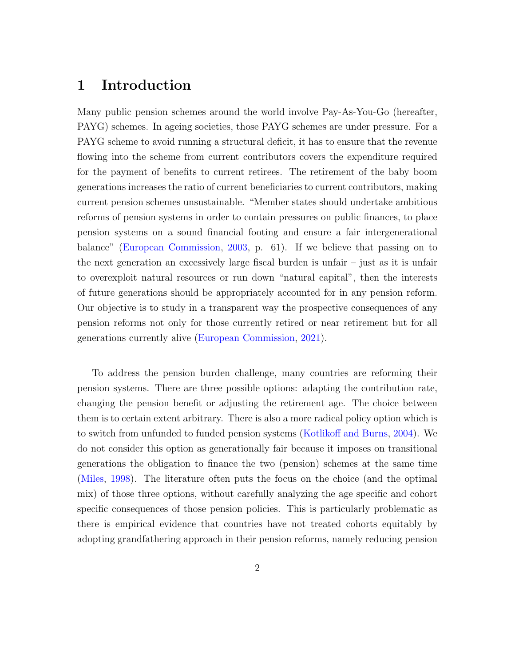### 1 Introduction

Many public pension schemes around the world involve Pay-As-You-Go (hereafter, PAYG) schemes. In ageing societies, those PAYG schemes are under pressure. For a PAYG scheme to avoid running a structural deficit, it has to ensure that the revenue flowing into the scheme from current contributors covers the expenditure required for the payment of benefits to current retirees. The retirement of the baby boom generations increases the ratio of current beneficiaries to current contributors, making current pension schemes unsustainable. "Member states should undertake ambitious reforms of pension systems in order to contain pressures on public finances, to place pension systems on a sound financial footing and ensure a fair intergenerational balance" [\(European Commission,](#page-30-0) [2003,](#page-30-0) p. 61). If we believe that passing on to the next generation an excessively large fiscal burden is unfair – just as it is unfair to overexploit natural resources or run down "natural capital", then the interests of future generations should be appropriately accounted for in any pension reform. Our objective is to study in a transparent way the prospective consequences of any pension reforms not only for those currently retired or near retirement but for all generations currently alive [\(European Commission,](#page-30-1) [2021\)](#page-30-1).

To address the pension burden challenge, many countries are reforming their pension systems. There are three possible options: adapting the contribution rate, changing the pension benefit or adjusting the retirement age. The choice between them is to certain extent arbitrary. There is also a more radical policy option which is to switch from unfunded to funded pension systems [\(Kotlikoff and Burns,](#page-30-2) [2004\)](#page-30-2). We do not consider this option as generationally fair because it imposes on transitional generations the obligation to finance the two (pension) schemes at the same time [\(Miles,](#page-31-0) [1998\)](#page-31-0). The literature often puts the focus on the choice (and the optimal mix) of those three options, without carefully analyzing the age specific and cohort specific consequences of those pension policies. This is particularly problematic as there is empirical evidence that countries have not treated cohorts equitably by adopting grandfathering approach in their pension reforms, namely reducing pension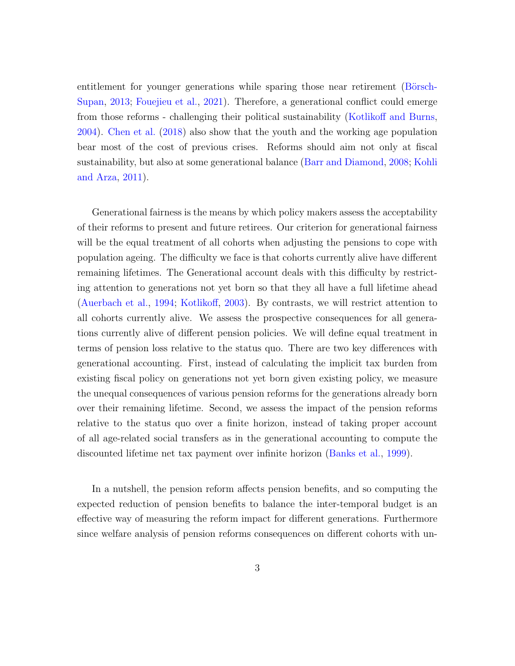entitlement for younger generations while sparing those near retirement (Börsch-[Supan,](#page-29-0) [2013;](#page-29-0) [Fouejieu et al.,](#page-30-3) [2021\)](#page-30-3). Therefore, a generational conflict could emerge from those reforms - challenging their political sustainability [\(Kotlikoff and Burns,](#page-30-2) [2004\)](#page-30-2). [Chen et al.](#page-29-1) [\(2018\)](#page-29-1) also show that the youth and the working age population bear most of the cost of previous crises. Reforms should aim not only at fiscal sustainability, but also at some generational balance [\(Barr and Diamond,](#page-29-2) [2008;](#page-29-2) [Kohli](#page-30-4) [and Arza,](#page-30-4) [2011\)](#page-30-4).

Generational fairness is the means by which policy makers assess the acceptability of their reforms to present and future retirees. Our criterion for generational fairness will be the equal treatment of all cohorts when adjusting the pensions to cope with population ageing. The difficulty we face is that cohorts currently alive have different remaining lifetimes. The Generational account deals with this difficulty by restricting attention to generations not yet born so that they all have a full lifetime ahead [\(Auerbach et al.,](#page-29-3) [1994;](#page-29-3) [Kotlikoff,](#page-30-5) [2003\)](#page-30-5). By contrasts, we will restrict attention to all cohorts currently alive. We assess the prospective consequences for all generations currently alive of different pension policies. We will define equal treatment in terms of pension loss relative to the status quo. There are two key differences with generational accounting. First, instead of calculating the implicit tax burden from existing fiscal policy on generations not yet born given existing policy, we measure the unequal consequences of various pension reforms for the generations already born over their remaining lifetime. Second, we assess the impact of the pension reforms relative to the status quo over a finite horizon, instead of taking proper account of all age-related social transfers as in the generational accounting to compute the discounted lifetime net tax payment over infinite horizon [\(Banks et al.,](#page-29-4) [1999\)](#page-29-4).

In a nutshell, the pension reform affects pension benefits, and so computing the expected reduction of pension benefits to balance the inter-temporal budget is an effective way of measuring the reform impact for different generations. Furthermore since welfare analysis of pension reforms consequences on different cohorts with un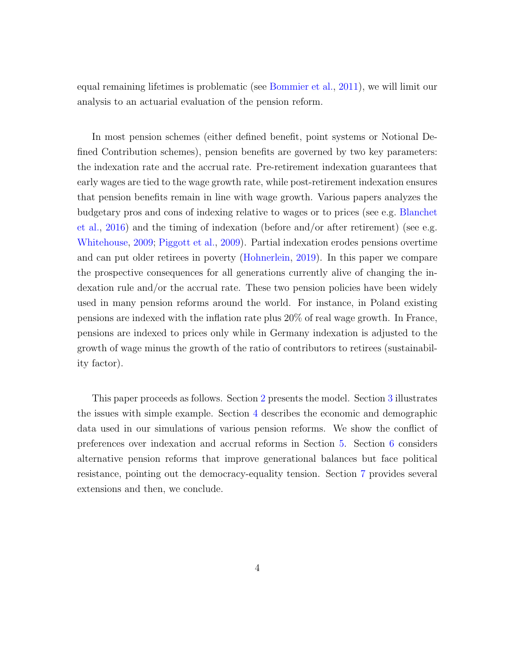equal remaining lifetimes is problematic (see [Bommier et al.,](#page-29-5) [2011\)](#page-29-5), we will limit our analysis to an actuarial evaluation of the pension reform.

In most pension schemes (either defined benefit, point systems or Notional Defined Contribution schemes), pension benefits are governed by two key parameters: the indexation rate and the accrual rate. Pre-retirement indexation guarantees that early wages are tied to the wage growth rate, while post-retirement indexation ensures that pension benefits remain in line with wage growth. Various papers analyzes the budgetary pros and cons of indexing relative to wages or to prices (see e.g. [Blanchet](#page-29-6) [et al.,](#page-29-6) [2016\)](#page-29-6) and the timing of indexation (before and/or after retirement) (see e.g. [Whitehouse,](#page-31-1) [2009;](#page-31-1) [Piggott et al.,](#page-31-2) [2009\)](#page-31-2). Partial indexation erodes pensions overtime and can put older retirees in poverty [\(Hohnerlein,](#page-30-6) [2019\)](#page-30-6). In this paper we compare the prospective consequences for all generations currently alive of changing the indexation rule and/or the accrual rate. These two pension policies have been widely used in many pension reforms around the world. For instance, in Poland existing pensions are indexed with the inflation rate plus 20% of real wage growth. In France, pensions are indexed to prices only while in Germany indexation is adjusted to the growth of wage minus the growth of the ratio of contributors to retirees (sustainability factor).

This paper proceeds as follows. Section [2](#page-7-0) presents the model. Section [3](#page-11-0) illustrates the issues with simple example. Section [4](#page-12-0) describes the economic and demographic data used in our simulations of various pension reforms. We show the conflict of preferences over indexation and accrual reforms in Section [5.](#page-14-0) Section [6](#page-19-0) considers alternative pension reforms that improve generational balances but face political resistance, pointing out the democracy-equality tension. Section [7](#page-23-0) provides several extensions and then, we conclude.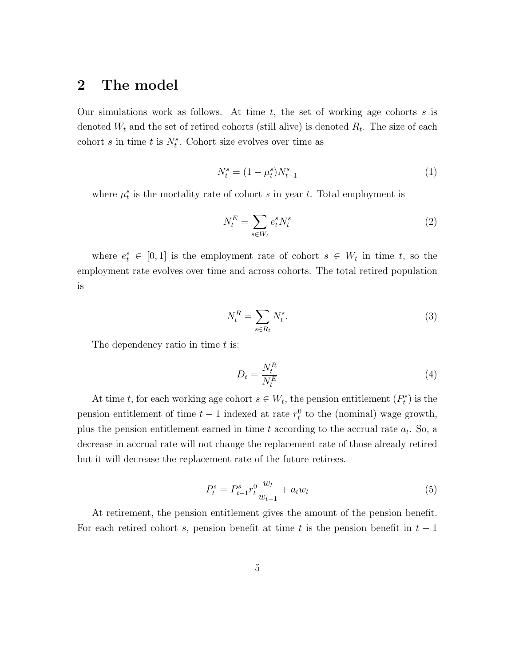### <span id="page-7-0"></span>2 The model

Our simulations work as follows. At time t, the set of working age cohorts s is denoted  $W_t$  and the set of retired cohorts (still alive) is denoted  $R_t$ . The size of each cohort s in time t is  $N_t^s$ . Cohort size evolves over time as

<span id="page-7-1"></span>
$$
N_t^s = (1 - \mu_t^s) N_{t-1}^s \tag{1}
$$

where  $\mu_t^s$  is the mortality rate of cohort s in year t. Total employment is

<span id="page-7-2"></span>
$$
N_t^E = \sum_{s \in W_t} e_t^s N_t^s \tag{2}
$$

where  $e_t^s \in [0,1]$  is the employment rate of cohort  $s \in W_t$  in time t, so the employment rate evolves over time and across cohorts. The total retired population is

<span id="page-7-3"></span>
$$
N_t^R = \sum_{s \in R_t} N_t^s. \tag{3}
$$

The dependency ratio in time  $t$  is:

$$
D_t = \frac{N_t^R}{N_t^E} \tag{4}
$$

At time t, for each working age cohort  $s \in W_t$ , the pension entitlement  $(P_t^s)$  is the pension entitlement of time  $t-1$  indexed at rate  $r_t^0$  to the (nominal) wage growth, plus the pension entitlement earned in time  $t$  according to the accrual rate  $a_t$ . So, a decrease in accrual rate will not change the replacement rate of those already retired but it will decrease the replacement rate of the future retirees.

<span id="page-7-4"></span>
$$
P_t^s = P_{t-1}^s r_t^0 \frac{w_t}{w_{t-1}} + a_t w_t \tag{5}
$$

At retirement, the pension entitlement gives the amount of the pension benefit. For each retired cohort s, pension benefit at time t is the pension benefit in  $t-1$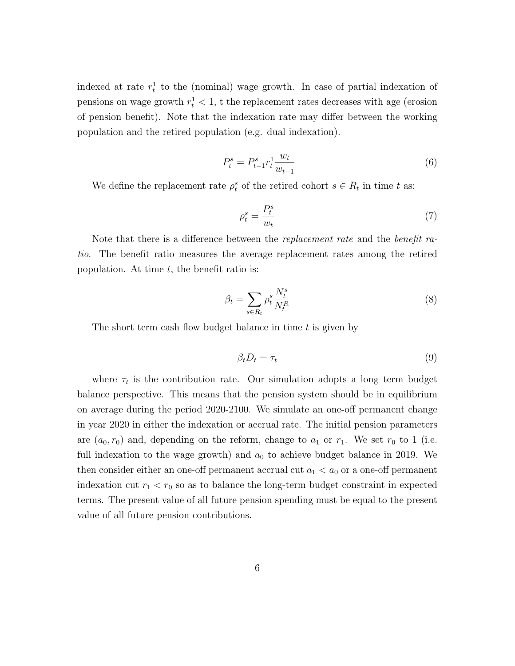indexed at rate  $r_t^1$  to the (nominal) wage growth. In case of partial indexation of pensions on wage growth  $r_t^1 < 1$ , t the replacement rates decreases with age (erosion of pension benefit). Note that the indexation rate may differ between the working population and the retired population (e.g. dual indexation).

<span id="page-8-0"></span>
$$
P_t^s = P_{t-1}^s r_t^1 \frac{w_t}{w_{t-1}}
$$
\n<sup>(6)</sup>

We define the replacement rate  $\rho_t^s$  of the retired cohort  $s \in R_t$  in time t as:

$$
\rho_t^s = \frac{P_t^s}{w_t} \tag{7}
$$

Note that there is a difference between the *replacement rate* and the *benefit ra*tio. The benefit ratio measures the average replacement rates among the retired population. At time  $t$ , the benefit ratio is:

$$
\beta_t = \sum_{s \in R_t} \rho_t^s \frac{N_t^s}{N_t^R} \tag{8}
$$

The short term cash flow budget balance in time  $t$  is given by

$$
\beta_t D_t = \tau_t \tag{9}
$$

where  $\tau_t$  is the contribution rate. Our simulation adopts a long term budget balance perspective. This means that the pension system should be in equilibrium on average during the period 2020-2100. We simulate an one-off permanent change in year 2020 in either the indexation or accrual rate. The initial pension parameters are  $(a_0, r_0)$  and, depending on the reform, change to  $a_1$  or  $r_1$ . We set  $r_0$  to 1 (i.e. full indexation to the wage growth) and  $a_0$  to achieve budget balance in 2019. We then consider either an one-off permanent accrual cut  $a_1 < a_0$  or a one-off permanent indexation cut  $r_1 < r_0$  so as to balance the long-term budget constraint in expected terms. The present value of all future pension spending must be equal to the present value of all future pension contributions.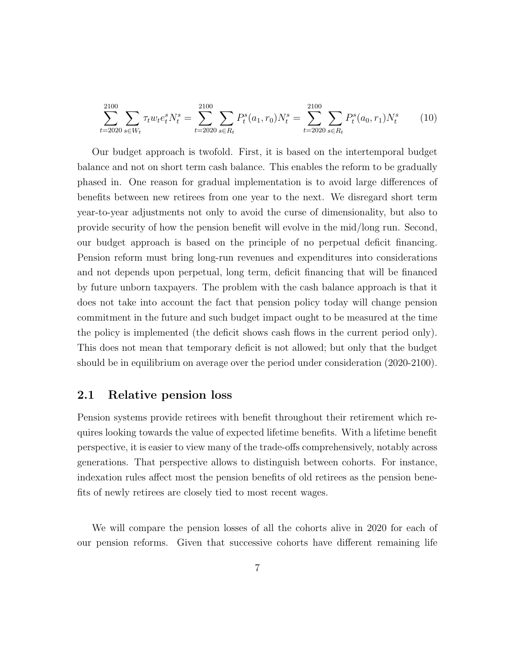<span id="page-9-0"></span>
$$
\sum_{t=2020}^{2100} \sum_{s \in W_t} \tau_t w_t e_t^s N_t^s = \sum_{t=2020}^{2100} \sum_{s \in R_t} P_t^s(a_1, r_0) N_t^s = \sum_{t=2020}^{2100} \sum_{s \in R_t} P_t^s(a_0, r_1) N_t^s \tag{10}
$$

Our budget approach is twofold. First, it is based on the intertemporal budget balance and not on short term cash balance. This enables the reform to be gradually phased in. One reason for gradual implementation is to avoid large differences of benefits between new retirees from one year to the next. We disregard short term year-to-year adjustments not only to avoid the curse of dimensionality, but also to provide security of how the pension benefit will evolve in the mid/long run. Second, our budget approach is based on the principle of no perpetual deficit financing. Pension reform must bring long-run revenues and expenditures into considerations and not depends upon perpetual, long term, deficit financing that will be financed by future unborn taxpayers. The problem with the cash balance approach is that it does not take into account the fact that pension policy today will change pension commitment in the future and such budget impact ought to be measured at the time the policy is implemented (the deficit shows cash flows in the current period only). This does not mean that temporary deficit is not allowed; but only that the budget should be in equilibrium on average over the period under consideration (2020-2100).

#### 2.1 Relative pension loss

Pension systems provide retirees with benefit throughout their retirement which requires looking towards the value of expected lifetime benefits. With a lifetime benefit perspective, it is easier to view many of the trade-offs comprehensively, notably across generations. That perspective allows to distinguish between cohorts. For instance, indexation rules affect most the pension benefits of old retirees as the pension benefits of newly retirees are closely tied to most recent wages.

We will compare the pension losses of all the cohorts alive in 2020 for each of our pension reforms. Given that successive cohorts have different remaining life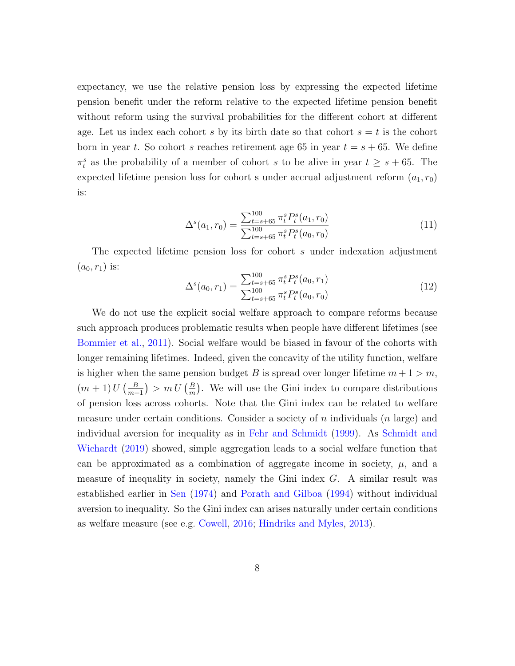expectancy, we use the relative pension loss by expressing the expected lifetime pension benefit under the reform relative to the expected lifetime pension benefit without reform using the survival probabilities for the different cohort at different age. Let us index each cohort s by its birth date so that cohort  $s = t$  is the cohort born in year t. So cohort s reaches retirement age 65 in year  $t = s + 65$ . We define  $\pi_t^s$  as the probability of a member of cohort s to be alive in year  $t \geq s + 65$ . The expected lifetime pension loss for cohort s under accrual adjustment reform  $(a_1, r_0)$ is:

<span id="page-10-0"></span>
$$
\Delta^s(a_1, r_0) = \frac{\sum_{t=s+65}^{100} \pi_t^s P_t^s(a_1, r_0)}{\sum_{t=s+65}^{100} \pi_t^s P_t^s(a_0, r_0)}
$$
(11)

The expected lifetime pension loss for cohort s under indexation adjustment  $(a_0, r_1)$  is:

<span id="page-10-1"></span>
$$
\Delta^s(a_0, r_1) = \frac{\sum_{t=s+65}^{100} \pi_t^s P_t^s(a_0, r_1)}{\sum_{t=s+65}^{100} \pi_t^s P_t^s(a_0, r_0)}
$$
(12)

We do not use the explicit social welfare approach to compare reforms because such approach produces problematic results when people have different lifetimes (see [Bommier et al.,](#page-29-5) [2011\)](#page-29-5). Social welfare would be biased in favour of the cohorts with longer remaining lifetimes. Indeed, given the concavity of the utility function, welfare is higher when the same pension budget B is spread over longer lifetime  $m+1 > m$ ,  $(m+1) U\left(\frac{B}{m+1}\right) > m U\left(\frac{B}{m}\right)$  $\frac{B}{m}$ ). We will use the Gini index to compare distributions of pension loss across cohorts. Note that the Gini index can be related to welfare measure under certain conditions. Consider a society of n individuals  $(n \text{ large})$  and individual aversion for inequality as in [Fehr and Schmidt](#page-30-7) [\(1999\)](#page-30-7). As [Schmidt and](#page-31-3) [Wichardt](#page-31-3) [\(2019\)](#page-31-3) showed, simple aggregation leads to a social welfare function that can be approximated as a combination of aggregate income in society,  $\mu$ , and a measure of inequality in society, namely the Gini index G. A similar result was established earlier in [Sen](#page-31-4) [\(1974\)](#page-31-4) and [Porath and Gilboa](#page-31-5) [\(1994\)](#page-31-5) without individual aversion to inequality. So the Gini index can arises naturally under certain conditions as welfare measure (see e.g. [Cowell,](#page-30-8) [2016;](#page-30-8) [Hindriks and Myles,](#page-30-9) [2013\)](#page-30-9).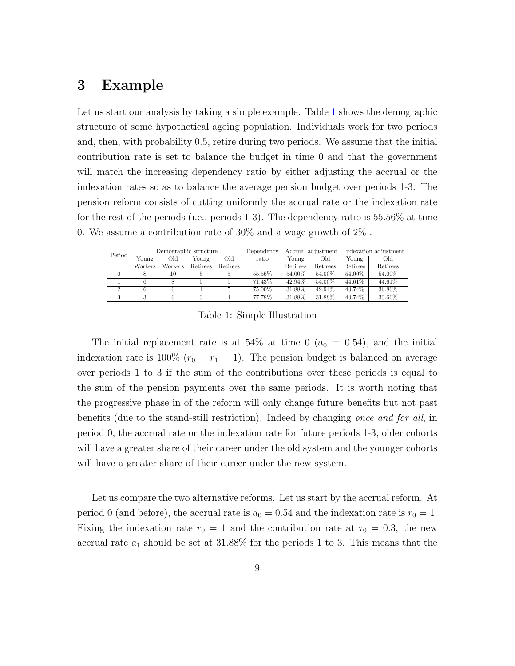### <span id="page-11-0"></span>3 Example

Let us start our analysis by taking a simple example. Table [1](#page-11-1) shows the demographic structure of some hypothetical ageing population. Individuals work for two periods and, then, with probability 0.5, retire during two periods. We assume that the initial contribution rate is set to balance the budget in time 0 and that the government will match the increasing dependency ratio by either adjusting the accrual or the indexation rates so as to balance the average pension budget over periods 1-3. The pension reform consists of cutting uniformly the accrual rate or the indexation rate for the rest of the periods (i.e., periods 1-3). The dependency ratio is 55.56% at time 0. We assume a contribution rate of 30% and a wage growth of 2% .

<span id="page-11-1"></span>

| Period | Demographic structure |         |          |          | Dependency | Accrual adjustment |          | Indexation adjustment |          |
|--------|-----------------------|---------|----------|----------|------------|--------------------|----------|-----------------------|----------|
|        | Young                 | Old     | Young    | Old      | ratio      | Young              | Old      | Young                 | Old      |
|        | Workers               | Workers | Retirees | Retirees |            | Retirees           | Retirees | Retirees              | Retirees |
|        |                       | 10      |          |          | 55.56%     | 54.00%             | 54.00%   | 54.00%                | 54.00%   |
|        |                       |         |          |          | 71.43%     | 42.94%             | 54.00%   | 44.61%                | 44.61%   |
| ີ      |                       |         |          |          | 75.00%     | 31.88%             | 42.94%   | 40.74%                | 36.86%   |
| 3      |                       |         |          |          | 77.78%     | 31.88%             | 31.88%   | 40.74%                | 33.66%   |

Table 1: Simple Illustration

The initial replacement rate is at 54% at time 0 ( $a_0 = 0.54$ ), and the initial indexation rate is 100% ( $r_0 = r_1 = 1$ ). The pension budget is balanced on average over periods 1 to 3 if the sum of the contributions over these periods is equal to the sum of the pension payments over the same periods. It is worth noting that the progressive phase in of the reform will only change future benefits but not past benefits (due to the stand-still restriction). Indeed by changing once and for all, in period 0, the accrual rate or the indexation rate for future periods 1-3, older cohorts will have a greater share of their career under the old system and the younger cohorts will have a greater share of their career under the new system.

Let us compare the two alternative reforms. Let us start by the accrual reform. At period 0 (and before), the accrual rate is  $a_0 = 0.54$  and the indexation rate is  $r_0 = 1$ . Fixing the indexation rate  $r_0 = 1$  and the contribution rate at  $\tau_0 = 0.3$ , the new accrual rate  $a_1$  should be set at 31.88% for the periods 1 to 3. This means that the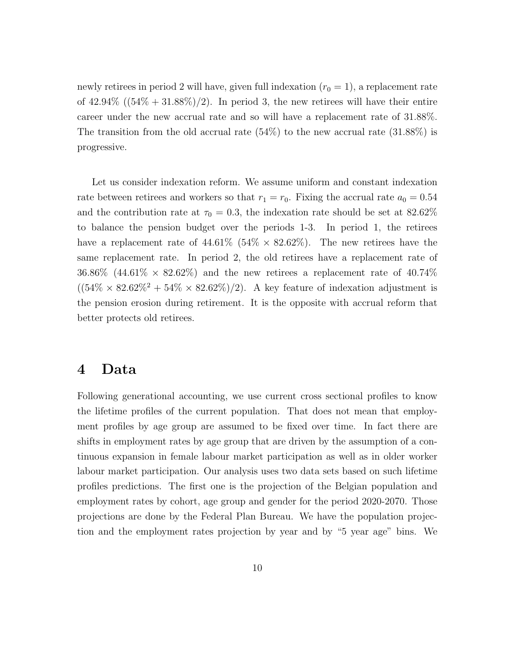newly retirees in period 2 will have, given full indexation  $(r_0 = 1)$ , a replacement rate of  $42.94\%$  ( $(54\% + 31.88\%)/2$ ). In period 3, the new retirees will have their entire career under the new accrual rate and so will have a replacement rate of 31.88%. The transition from the old accrual rate  $(54%)$  to the new accrual rate  $(31.88%)$  is progressive.

Let us consider indexation reform. We assume uniform and constant indexation rate between retirees and workers so that  $r_1 = r_0$ . Fixing the accrual rate  $a_0 = 0.54$ and the contribution rate at  $\tau_0 = 0.3$ , the indexation rate should be set at 82.62% to balance the pension budget over the periods 1-3. In period 1, the retirees have a replacement rate of  $44.61\%$  (54%  $\times$  82.62%). The new retirees have the same replacement rate. In period 2, the old retirees have a replacement rate of 36.86% (44.61%  $\times$  82.62%) and the new retirees a replacement rate of 40.74%  $((54\% \times 82.62\%) \times 82.62\%)/2)$ . A key feature of indexation adjustment is the pension erosion during retirement. It is the opposite with accrual reform that better protects old retirees.

#### <span id="page-12-0"></span>4 Data

Following generational accounting, we use current cross sectional profiles to know the lifetime profiles of the current population. That does not mean that employment profiles by age group are assumed to be fixed over time. In fact there are shifts in employment rates by age group that are driven by the assumption of a continuous expansion in female labour market participation as well as in older worker labour market participation. Our analysis uses two data sets based on such lifetime profiles predictions. The first one is the projection of the Belgian population and employment rates by cohort, age group and gender for the period 2020-2070. Those projections are done by the Federal Plan Bureau. We have the population projection and the employment rates projection by year and by "5 year age" bins. We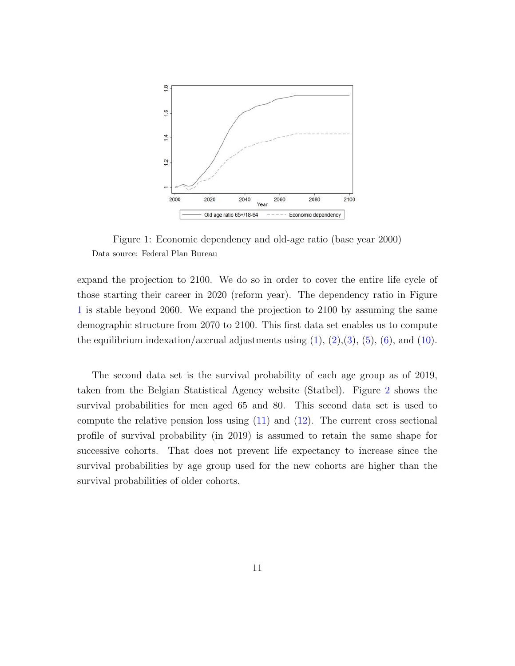<span id="page-13-0"></span>

Figure 1: Economic dependency and old-age ratio (base year 2000) Data source: Federal Plan Bureau

expand the projection to 2100. We do so in order to cover the entire life cycle of those starting their career in 2020 (reform year). The dependency ratio in Figure [1](#page-13-0) is stable beyond 2060. We expand the projection to 2100 by assuming the same demographic structure from 2070 to 2100. This first data set enables us to compute the equilibrium indexation/accrual adjustments using  $(1), (2), (3), (5), (6),$  $(1), (2), (3), (5), (6),$  $(1), (2), (3), (5), (6),$  $(1), (2), (3), (5), (6),$  $(1), (2), (3), (5), (6),$  $(1), (2), (3), (5), (6),$  $(1), (2), (3), (5), (6),$  $(1), (2), (3), (5), (6),$  $(1), (2), (3), (5), (6),$  $(1), (2), (3), (5), (6),$  and  $(10)$ .

The second data set is the survival probability of each age group as of 2019, taken from the Belgian Statistical Agency website (Statbel). Figure [2](#page-14-1) shows the survival probabilities for men aged 65 and 80. This second data set is used to compute the relative pension loss using  $(11)$  and  $(12)$ . The current cross sectional profile of survival probability (in 2019) is assumed to retain the same shape for successive cohorts. That does not prevent life expectancy to increase since the survival probabilities by age group used for the new cohorts are higher than the survival probabilities of older cohorts.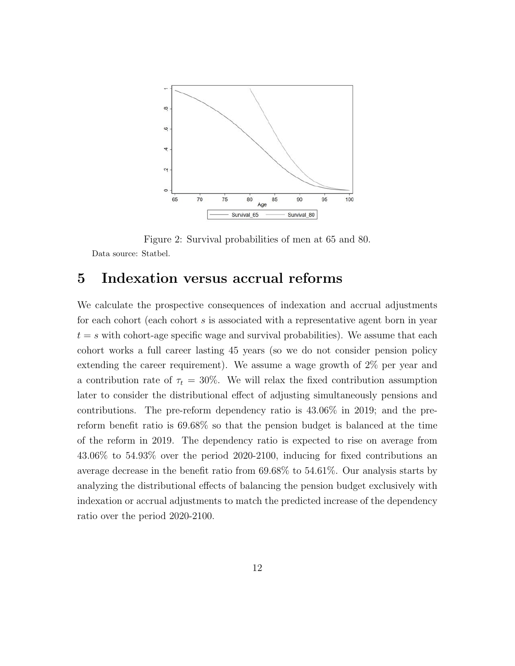<span id="page-14-1"></span>

Figure 2: Survival probabilities of men at 65 and 80. Data source: Statbel.

### <span id="page-14-0"></span>5 Indexation versus accrual reforms

We calculate the prospective consequences of indexation and accrual adjustments for each cohort (each cohort  $s$  is associated with a representative agent born in year  $t = s$  with cohort-age specific wage and survival probabilities). We assume that each cohort works a full career lasting 45 years (so we do not consider pension policy extending the career requirement). We assume a wage growth of 2% per year and a contribution rate of  $\tau_t = 30\%$ . We will relax the fixed contribution assumption later to consider the distributional effect of adjusting simultaneously pensions and contributions. The pre-reform dependency ratio is 43.06% in 2019; and the prereform benefit ratio is 69.68% so that the pension budget is balanced at the time of the reform in 2019. The dependency ratio is expected to rise on average from 43.06% to 54.93% over the period 2020-2100, inducing for fixed contributions an average decrease in the benefit ratio from 69.68% to 54.61%. Our analysis starts by analyzing the distributional effects of balancing the pension budget exclusively with indexation or accrual adjustments to match the predicted increase of the dependency ratio over the period 2020-2100.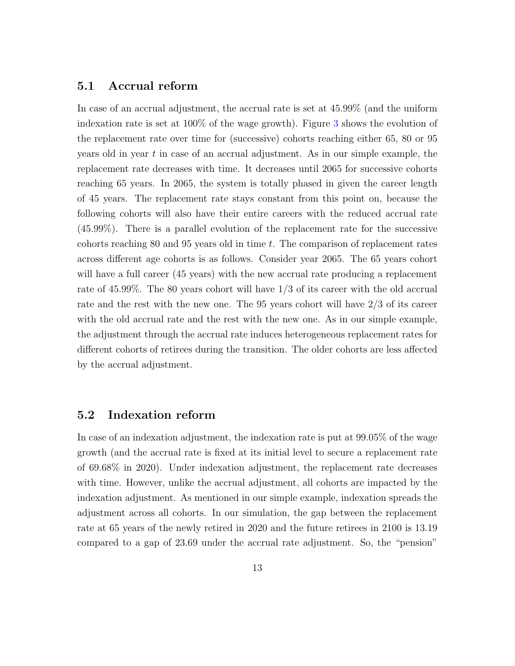#### 5.1 Accrual reform

In case of an accrual adjustment, the accrual rate is set at 45.99% (and the uniform indexation rate is set at 100% of the wage growth). Figure [3](#page-16-0) shows the evolution of the replacement rate over time for (successive) cohorts reaching either 65, 80 or 95 years old in year  $t$  in case of an accrual adjustment. As in our simple example, the replacement rate decreases with time. It decreases until 2065 for successive cohorts reaching 65 years. In 2065, the system is totally phased in given the career length of 45 years. The replacement rate stays constant from this point on, because the following cohorts will also have their entire careers with the reduced accrual rate (45.99%). There is a parallel evolution of the replacement rate for the successive cohorts reaching 80 and 95 years old in time t. The comparison of replacement rates across different age cohorts is as follows. Consider year 2065. The 65 years cohort will have a full career (45 years) with the new accrual rate producing a replacement rate of 45.99%. The 80 years cohort will have 1/3 of its career with the old accrual rate and the rest with the new one. The 95 years cohort will have 2/3 of its career with the old accrual rate and the rest with the new one. As in our simple example, the adjustment through the accrual rate induces heterogeneous replacement rates for different cohorts of retirees during the transition. The older cohorts are less affected by the accrual adjustment.

#### 5.2 Indexation reform

In case of an indexation adjustment, the indexation rate is put at 99.05% of the wage growth (and the accrual rate is fixed at its initial level to secure a replacement rate of 69.68% in 2020). Under indexation adjustment, the replacement rate decreases with time. However, unlike the accrual adjustment, all cohorts are impacted by the indexation adjustment. As mentioned in our simple example, indexation spreads the adjustment across all cohorts. In our simulation, the gap between the replacement rate at 65 years of the newly retired in 2020 and the future retirees in 2100 is 13.19 compared to a gap of 23.69 under the accrual rate adjustment. So, the "pension"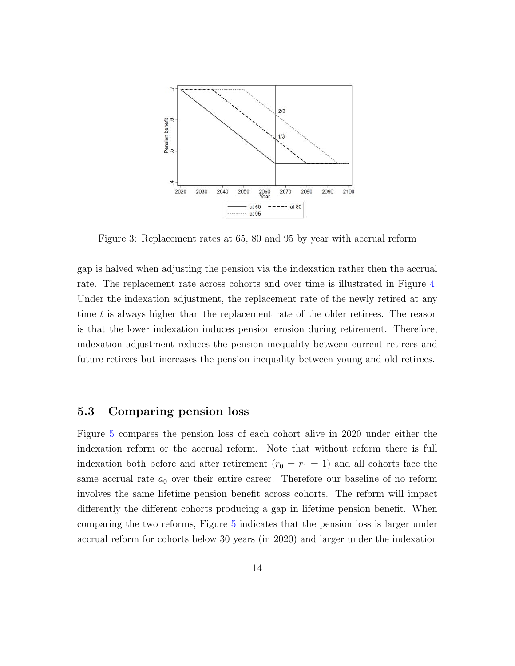<span id="page-16-0"></span>

Figure 3: Replacement rates at 65, 80 and 95 by year with accrual reform

gap is halved when adjusting the pension via the indexation rather then the accrual rate. The replacement rate across cohorts and over time is illustrated in Figure [4.](#page-17-0) Under the indexation adjustment, the replacement rate of the newly retired at any time t is always higher than the replacement rate of the older retirees. The reason is that the lower indexation induces pension erosion during retirement. Therefore, indexation adjustment reduces the pension inequality between current retirees and future retirees but increases the pension inequality between young and old retirees.

#### 5.3 Comparing pension loss

Figure [5](#page-18-0) compares the pension loss of each cohort alive in 2020 under either the indexation reform or the accrual reform. Note that without reform there is full indexation both before and after retirement  $(r_0 = r_1 = 1)$  and all cohorts face the same accrual rate  $a_0$  over their entire career. Therefore our baseline of no reform involves the same lifetime pension benefit across cohorts. The reform will impact differently the different cohorts producing a gap in lifetime pension benefit. When comparing the two reforms, Figure [5](#page-18-0) indicates that the pension loss is larger under accrual reform for cohorts below 30 years (in 2020) and larger under the indexation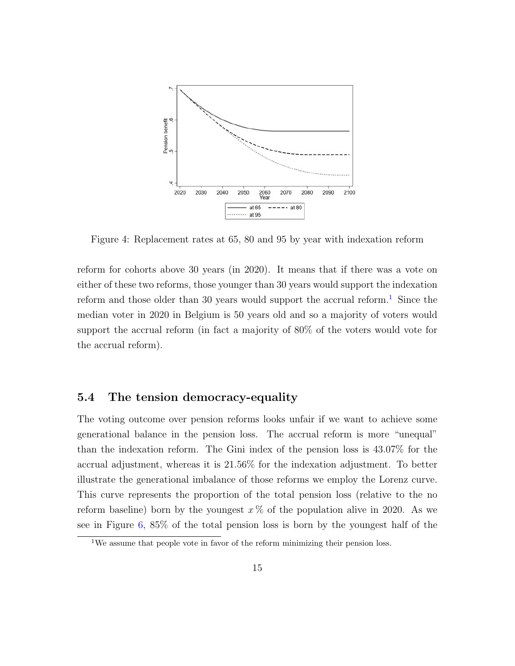<span id="page-17-0"></span>

Figure 4: Replacement rates at 65, 80 and 95 by year with indexation reform

reform for cohorts above 30 years (in 2020). It means that if there was a vote on either of these two reforms, those younger than 30 years would support the indexation reform and those older than 30 years would support the accrual reform.<sup>[1](#page-17-1)</sup> Since the median voter in 2020 in Belgium is 50 years old and so a majority of voters would support the accrual reform (in fact a majority of 80% of the voters would vote for the accrual reform).

#### 5.4 The tension democracy-equality

The voting outcome over pension reforms looks unfair if we want to achieve some generational balance in the pension loss. The accrual reform is more "unequal" than the indexation reform. The Gini index of the pension loss is 43.07% for the accrual adjustment, whereas it is 21.56% for the indexation adjustment. To better illustrate the generational imbalance of those reforms we employ the Lorenz curve. This curve represents the proportion of the total pension loss (relative to the no reform baseline) born by the youngest  $x\%$  of the population alive in 2020. As we see in Figure [6,](#page-19-1) 85% of the total pension loss is born by the youngest half of the

<span id="page-17-1"></span><sup>&</sup>lt;sup>1</sup>We assume that people vote in favor of the reform minimizing their pension loss.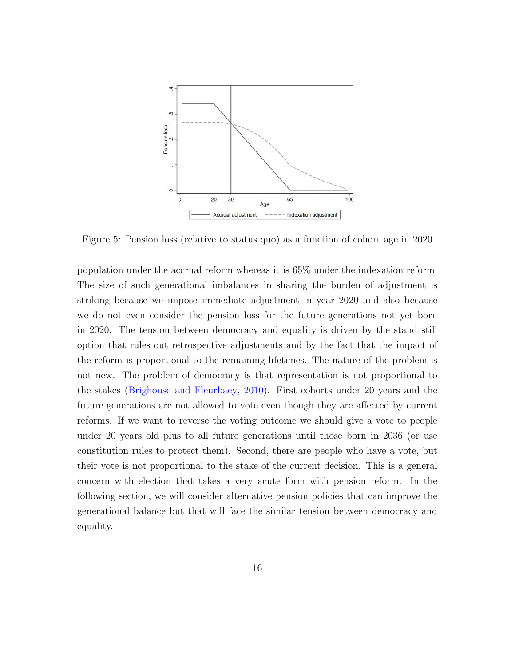<span id="page-18-0"></span>

Figure 5: Pension loss (relative to status quo) as a function of cohort age in 2020

population under the accrual reform whereas it is 65% under the indexation reform. The size of such generational imbalances in sharing the burden of adjustment is striking because we impose immediate adjustment in year 2020 and also because we do not even consider the pension loss for the future generations not yet born in 2020. The tension between democracy and equality is driven by the stand still option that rules out retrospective adjustments and by the fact that the impact of the reform is proportional to the remaining lifetimes. The nature of the problem is not new. The problem of democracy is that representation is not proportional to the stakes [\(Brighouse and Fleurbaey,](#page-29-7) [2010\)](#page-29-7). First cohorts under 20 years and the future generations are not allowed to vote even though they are affected by current reforms. If we want to reverse the voting outcome we should give a vote to people under 20 years old plus to all future generations until those born in 2036 (or use constitution rules to protect them). Second, there are people who have a vote, but their vote is not proportional to the stake of the current decision. This is a general concern with election that takes a very acute form with pension reform. In the following section, we will consider alternative pension policies that can improve the generational balance but that will face the similar tension between democracy and equality.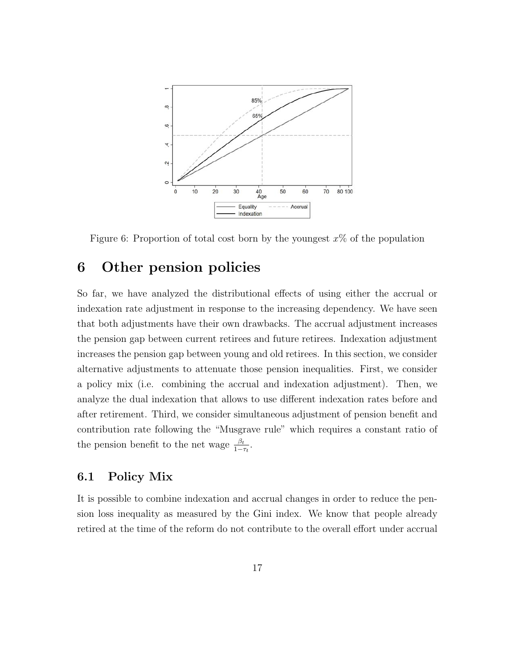<span id="page-19-1"></span>

Figure 6: Proportion of total cost born by the youngest  $x\%$  of the population

### <span id="page-19-0"></span>6 Other pension policies

So far, we have analyzed the distributional effects of using either the accrual or indexation rate adjustment in response to the increasing dependency. We have seen that both adjustments have their own drawbacks. The accrual adjustment increases the pension gap between current retirees and future retirees. Indexation adjustment increases the pension gap between young and old retirees. In this section, we consider alternative adjustments to attenuate those pension inequalities. First, we consider a policy mix (i.e. combining the accrual and indexation adjustment). Then, we analyze the dual indexation that allows to use different indexation rates before and after retirement. Third, we consider simultaneous adjustment of pension benefit and contribution rate following the "Musgrave rule" which requires a constant ratio of the pension benefit to the net wage  $\frac{\beta_t}{1-\tau_t}$ .

#### 6.1 Policy Mix

It is possible to combine indexation and accrual changes in order to reduce the pension loss inequality as measured by the Gini index. We know that people already retired at the time of the reform do not contribute to the overall effort under accrual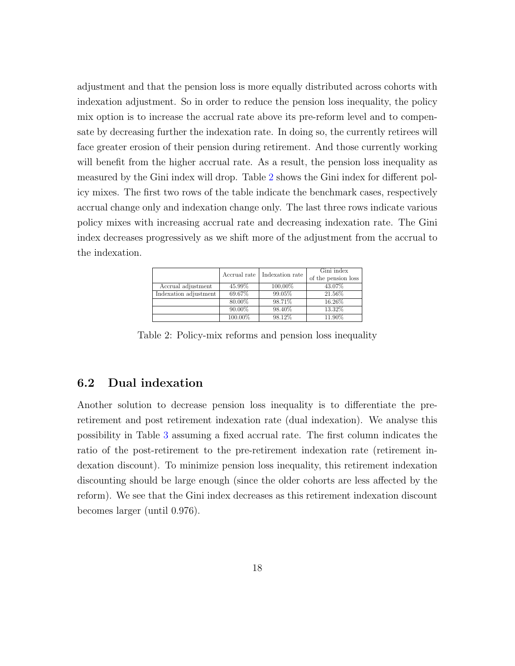adjustment and that the pension loss is more equally distributed across cohorts with indexation adjustment. So in order to reduce the pension loss inequality, the policy mix option is to increase the accrual rate above its pre-reform level and to compensate by decreasing further the indexation rate. In doing so, the currently retirees will face greater erosion of their pension during retirement. And those currently working will benefit from the higher accrual rate. As a result, the pension loss inequality as measured by the Gini index will drop. Table [2](#page-20-0) shows the Gini index for different policy mixes. The first two rows of the table indicate the benchmark cases, respectively accrual change only and indexation change only. The last three rows indicate various policy mixes with increasing accrual rate and decreasing indexation rate. The Gini index decreases progressively as we shift more of the adjustment from the accrual to the indexation.

<span id="page-20-0"></span>

|                       | Accrual rate | Indexation rate | Gini index<br>of the pension loss |
|-----------------------|--------------|-----------------|-----------------------------------|
| Accrual adjustment    | 45.99%       | 100,00%         | 43.07%                            |
| Indexation adjustment | 69.67%       | 99.05%          | 21.56%                            |
|                       | 80.00%       | 98.71%          | 16.26%                            |
|                       | 90.00%       | 98.40%          | 13.32%                            |
|                       | 100.00%      | 98.12%          | 11 90%                            |

Table 2: Policy-mix reforms and pension loss inequality

#### 6.2 Dual indexation

Another solution to decrease pension loss inequality is to differentiate the preretirement and post retirement indexation rate (dual indexation). We analyse this possibility in Table [3](#page-21-0) assuming a fixed accrual rate. The first column indicates the ratio of the post-retirement to the pre-retirement indexation rate (retirement indexation discount). To minimize pension loss inequality, this retirement indexation discounting should be large enough (since the older cohorts are less affected by the reform). We see that the Gini index decreases as this retirement indexation discount becomes larger (until 0.976).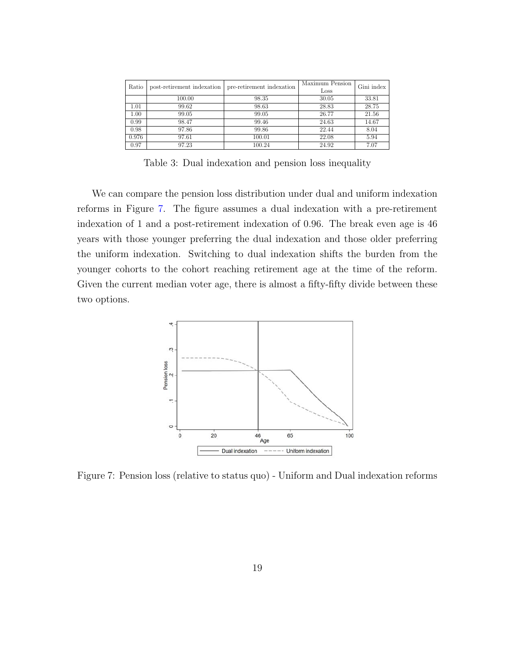<span id="page-21-0"></span>

| Ratio | post-retirement indexation | pre-retirement indexation | Maximum Pension<br>Loss | Gini index |
|-------|----------------------------|---------------------------|-------------------------|------------|
|       | 100.00                     | 98.35                     | 30.05                   | 33.81      |
| 1.01  | 99.62                      | 98.63                     | 28.83                   | 28.75      |
| 1.00  | 99.05                      | 99.05                     | 26.77                   | 21.56      |
| 0.99  | 98.47                      | 99.46                     | 24.63                   | 14.67      |
| 0.98  | 97.86                      | 99.86                     | 22.44                   | 8.04       |
| 0.976 | 97.61                      | 100.01                    | 22.08                   | 5.94       |
| 0.97  | 97.23                      | 100.24                    | 24.92                   | 7.07       |

Table 3: Dual indexation and pension loss inequality

We can compare the pension loss distribution under dual and uniform indexation reforms in Figure [7.](#page-21-1) The figure assumes a dual indexation with a pre-retirement indexation of 1 and a post-retirement indexation of 0.96. The break even age is 46 years with those younger preferring the dual indexation and those older preferring the uniform indexation. Switching to dual indexation shifts the burden from the younger cohorts to the cohort reaching retirement age at the time of the reform. Given the current median voter age, there is almost a fifty-fifty divide between these two options.

<span id="page-21-1"></span>

Figure 7: Pension loss (relative to status quo) - Uniform and Dual indexation reforms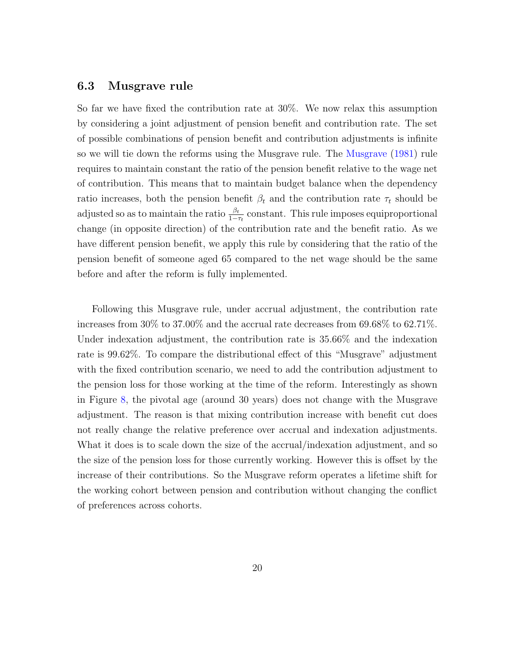#### 6.3 Musgrave rule

So far we have fixed the contribution rate at 30%. We now relax this assumption by considering a joint adjustment of pension benefit and contribution rate. The set of possible combinations of pension benefit and contribution adjustments is infinite so we will tie down the reforms using the Musgrave rule. The [Musgrave](#page-31-6) [\(1981\)](#page-31-6) rule requires to maintain constant the ratio of the pension benefit relative to the wage net of contribution. This means that to maintain budget balance when the dependency ratio increases, both the pension benefit  $\beta_t$  and the contribution rate  $\tau_t$  should be adjusted so as to maintain the ratio  $\frac{\beta_t}{1-\tau_t}$  constant. This rule imposes equiproportional change (in opposite direction) of the contribution rate and the benefit ratio. As we have different pension benefit, we apply this rule by considering that the ratio of the pension benefit of someone aged 65 compared to the net wage should be the same before and after the reform is fully implemented.

Following this Musgrave rule, under accrual adjustment, the contribution rate increases from 30% to 37.00% and the accrual rate decreases from 69.68% to 62.71%. Under indexation adjustment, the contribution rate is 35.66% and the indexation rate is 99.62%. To compare the distributional effect of this "Musgrave" adjustment with the fixed contribution scenario, we need to add the contribution adjustment to the pension loss for those working at the time of the reform. Interestingly as shown in Figure [8,](#page-23-1) the pivotal age (around 30 years) does not change with the Musgrave adjustment. The reason is that mixing contribution increase with benefit cut does not really change the relative preference over accrual and indexation adjustments. What it does is to scale down the size of the accrual/indexation adjustment, and so the size of the pension loss for those currently working. However this is offset by the increase of their contributions. So the Musgrave reform operates a lifetime shift for the working cohort between pension and contribution without changing the conflict of preferences across cohorts.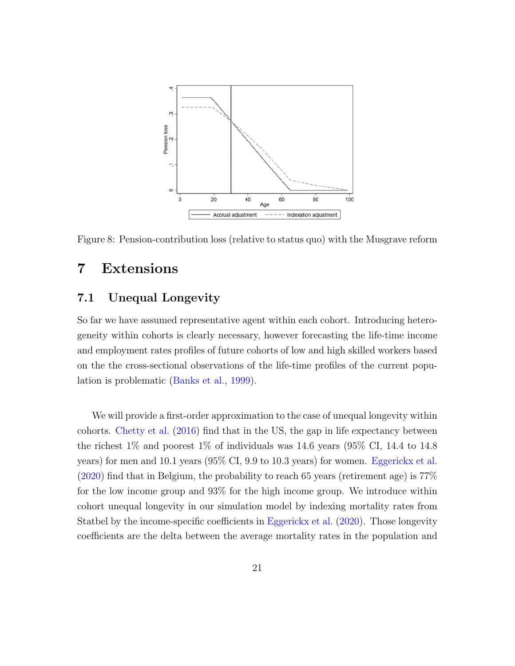<span id="page-23-1"></span>

Figure 8: Pension-contribution loss (relative to status quo) with the Musgrave reform

### <span id="page-23-0"></span>7 Extensions

#### 7.1 Unequal Longevity

So far we have assumed representative agent within each cohort. Introducing heterogeneity within cohorts is clearly necessary, however forecasting the life-time income and employment rates profiles of future cohorts of low and high skilled workers based on the the cross-sectional observations of the life-time profiles of the current population is problematic [\(Banks et al.,](#page-29-4) [1999\)](#page-29-4).

We will provide a first-order approximation to the case of unequal longevity within cohorts. [Chetty et al.](#page-29-8) [\(2016\)](#page-29-8) find that in the US, the gap in life expectancy between the richest  $1\%$  and poorest  $1\%$  of individuals was 14.6 years (95% CI, 14.4 to 14.8) years) for men and 10.1 years (95% CI, 9.9 to 10.3 years) for women. [Eggerickx et al.](#page-30-10) [\(2020\)](#page-30-10) find that in Belgium, the probability to reach 65 years (retirement age) is 77% for the low income group and 93% for the high income group. We introduce within cohort unequal longevity in our simulation model by indexing mortality rates from Statbel by the income-specific coefficients in [Eggerickx et al.](#page-30-10) [\(2020\)](#page-30-10). Those longevity coefficients are the delta between the average mortality rates in the population and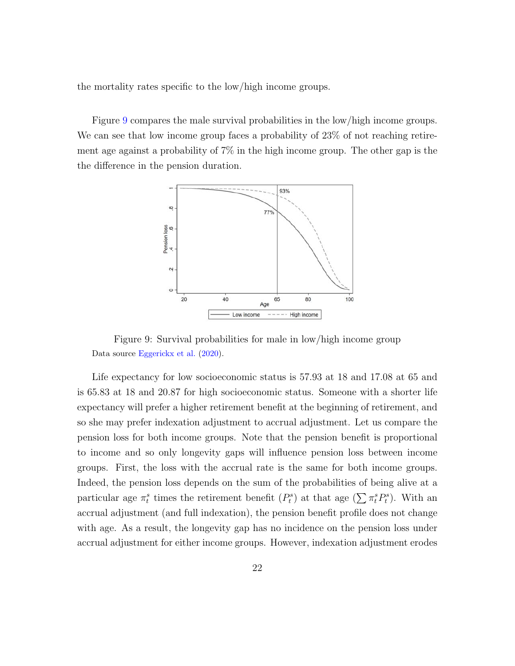the mortality rates specific to the low/high income groups.

<span id="page-24-0"></span>Figure [9](#page-24-0) compares the male survival probabilities in the low/high income groups. We can see that low income group faces a probability of 23% of not reaching retirement age against a probability of 7% in the high income group. The other gap is the the difference in the pension duration.



Figure 9: Survival probabilities for male in low/high income group Data source [Eggerickx et al.](#page-30-10) [\(2020\)](#page-30-10).

Life expectancy for low socioeconomic status is 57.93 at 18 and 17.08 at 65 and is 65.83 at 18 and 20.87 for high socioeconomic status. Someone with a shorter life expectancy will prefer a higher retirement benefit at the beginning of retirement, and so she may prefer indexation adjustment to accrual adjustment. Let us compare the pension loss for both income groups. Note that the pension benefit is proportional to income and so only longevity gaps will influence pension loss between income groups. First, the loss with the accrual rate is the same for both income groups. Indeed, the pension loss depends on the sum of the probabilities of being alive at a particular age  $\pi_t^s$  times the retirement benefit  $(P_t^s)$  at that age  $(\sum \pi_t^s P_t^s)$ . With an accrual adjustment (and full indexation), the pension benefit profile does not change with age. As a result, the longevity gap has no incidence on the pension loss under accrual adjustment for either income groups. However, indexation adjustment erodes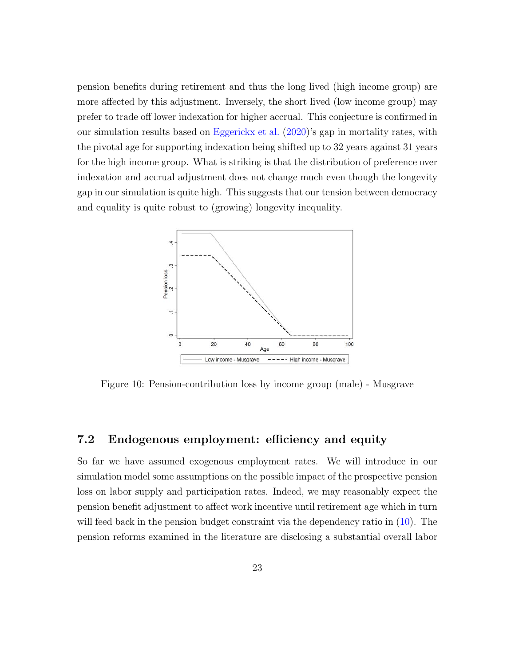pension benefits during retirement and thus the long lived (high income group) are more affected by this adjustment. Inversely, the short lived (low income group) may prefer to trade off lower indexation for higher accrual. This conjecture is confirmed in our simulation results based on [Eggerickx et al.](#page-30-10)  $(2020)$ 's gap in mortality rates, with the pivotal age for supporting indexation being shifted up to 32 years against 31 years for the high income group. What is striking is that the distribution of preference over indexation and accrual adjustment does not change much even though the longevity gap in our simulation is quite high. This suggests that our tension between democracy and equality is quite robust to (growing) longevity inequality.



Figure 10: Pension-contribution loss by income group (male) - Musgrave

#### 7.2 Endogenous employment: efficiency and equity

So far we have assumed exogenous employment rates. We will introduce in our simulation model some assumptions on the possible impact of the prospective pension loss on labor supply and participation rates. Indeed, we may reasonably expect the pension benefit adjustment to affect work incentive until retirement age which in turn will feed back in the pension budget constraint via the dependency ratio in  $(10)$ . The pension reforms examined in the literature are disclosing a substantial overall labor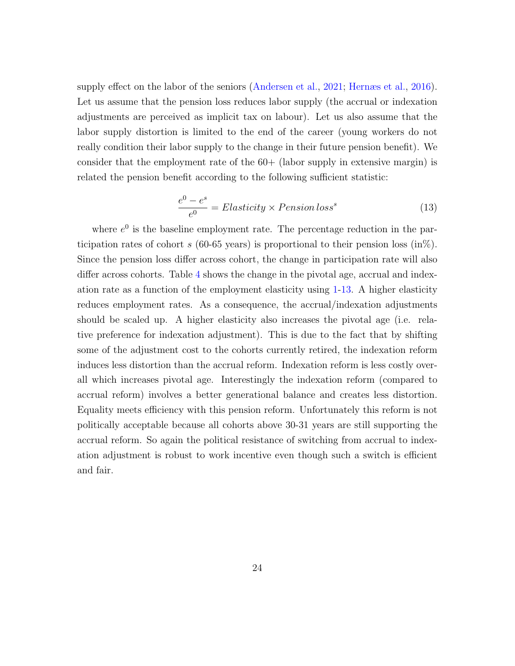supply effect on the labor of the seniors [\(Andersen et al.,](#page-29-9) [2021;](#page-29-9) [Hernæs et al.,](#page-30-11) [2016\)](#page-30-11). Let us assume that the pension loss reduces labor supply (the accrual or indexation adjustments are perceived as implicit tax on labour). Let us also assume that the labor supply distortion is limited to the end of the career (young workers do not really condition their labor supply to the change in their future pension benefit). We consider that the employment rate of the  $60+$  (labor supply in extensive margin) is related the pension benefit according to the following sufficient statistic:

<span id="page-26-0"></span>
$$
\frac{e^0 - e^s}{e^0} = Elasticity \times Pension loss^s \tag{13}
$$

where  $e^{0}$  is the baseline employment rate. The percentage reduction in the participation rates of cohort s (60-65 years) is proportional to their pension loss (in%). Since the pension loss differ across cohort, the change in participation rate will also differ across cohorts. Table [4](#page-27-0) shows the change in the pivotal age, accrual and indexation rate as a function of the employment elasticity using [1-](#page-7-1)[13.](#page-26-0) A higher elasticity reduces employment rates. As a consequence, the accrual/indexation adjustments should be scaled up. A higher elasticity also increases the pivotal age (i.e. relative preference for indexation adjustment). This is due to the fact that by shifting some of the adjustment cost to the cohorts currently retired, the indexation reform induces less distortion than the accrual reform. Indexation reform is less costly overall which increases pivotal age. Interestingly the indexation reform (compared to accrual reform) involves a better generational balance and creates less distortion. Equality meets efficiency with this pension reform. Unfortunately this reform is not politically acceptable because all cohorts above 30-31 years are still supporting the accrual reform. So again the political resistance of switching from accrual to indexation adjustment is robust to work incentive even though such a switch is efficient and fair.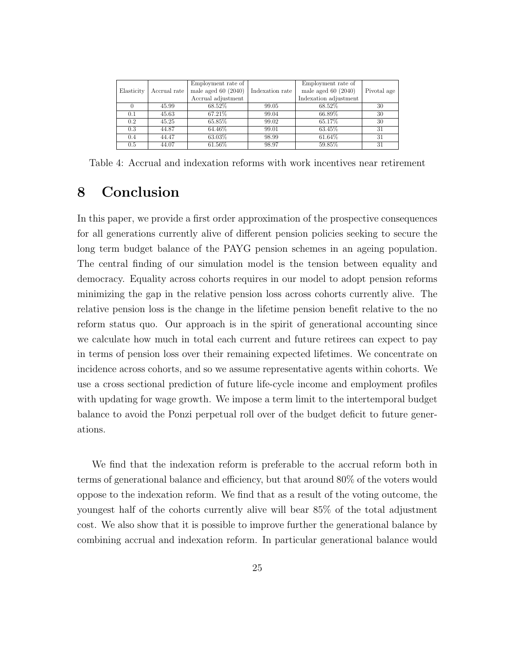<span id="page-27-0"></span>

|            |              | Employment rate of      |                 | Employment rate of      |             |
|------------|--------------|-------------------------|-----------------|-------------------------|-------------|
| Elasticity | Accrual rate | male aged $60$ $(2040)$ | Indexation rate | male aged $60$ $(2040)$ | Pivotal age |
|            |              | Accrual adjustment      |                 | Indexation adjustment   |             |
|            | 45.99        | 68.52%                  | 99.05           | 68.52%                  | 30          |
| 0.1        | 45.63        | 67.21\%                 | 99.04           | 66.89%                  | 30          |
| 0.2        | 45.25        | 65.85%                  | 99.02           | 65.17%                  | 30          |
| 0.3        | 44.87        | 64.46%                  | 99.01           | 63.45%                  | 31          |
| 0.4        | 44.47        | 63.03%                  | 98.99           | 61.64%                  | 31          |
| 0.5        | 44.07        | 61.56%                  | 98.97           | 59.85%                  | 31          |

Table 4: Accrual and indexation reforms with work incentives near retirement

### 8 Conclusion

In this paper, we provide a first order approximation of the prospective consequences for all generations currently alive of different pension policies seeking to secure the long term budget balance of the PAYG pension schemes in an ageing population. The central finding of our simulation model is the tension between equality and democracy. Equality across cohorts requires in our model to adopt pension reforms minimizing the gap in the relative pension loss across cohorts currently alive. The relative pension loss is the change in the lifetime pension benefit relative to the no reform status quo. Our approach is in the spirit of generational accounting since we calculate how much in total each current and future retirees can expect to pay in terms of pension loss over their remaining expected lifetimes. We concentrate on incidence across cohorts, and so we assume representative agents within cohorts. We use a cross sectional prediction of future life-cycle income and employment profiles with updating for wage growth. We impose a term limit to the intertemporal budget balance to avoid the Ponzi perpetual roll over of the budget deficit to future generations.

We find that the indexation reform is preferable to the accrual reform both in terms of generational balance and efficiency, but that around 80% of the voters would oppose to the indexation reform. We find that as a result of the voting outcome, the youngest half of the cohorts currently alive will bear 85% of the total adjustment cost. We also show that it is possible to improve further the generational balance by combining accrual and indexation reform. In particular generational balance would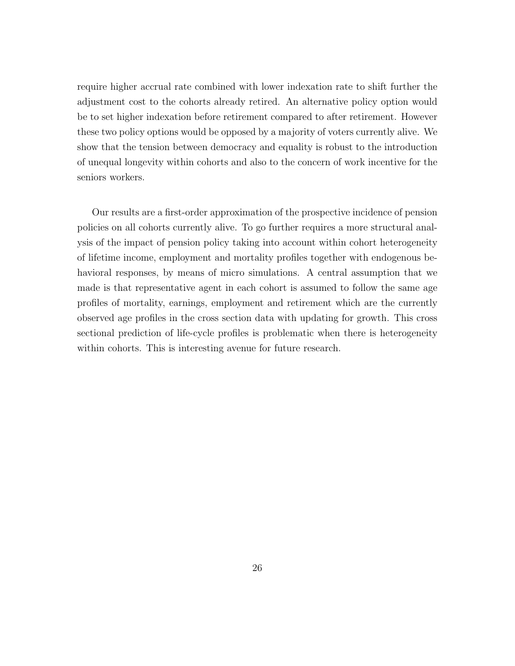require higher accrual rate combined with lower indexation rate to shift further the adjustment cost to the cohorts already retired. An alternative policy option would be to set higher indexation before retirement compared to after retirement. However these two policy options would be opposed by a majority of voters currently alive. We show that the tension between democracy and equality is robust to the introduction of unequal longevity within cohorts and also to the concern of work incentive for the seniors workers.

Our results are a first-order approximation of the prospective incidence of pension policies on all cohorts currently alive. To go further requires a more structural analysis of the impact of pension policy taking into account within cohort heterogeneity of lifetime income, employment and mortality profiles together with endogenous behavioral responses, by means of micro simulations. A central assumption that we made is that representative agent in each cohort is assumed to follow the same age profiles of mortality, earnings, employment and retirement which are the currently observed age profiles in the cross section data with updating for growth. This cross sectional prediction of life-cycle profiles is problematic when there is heterogeneity within cohorts. This is interesting avenue for future research.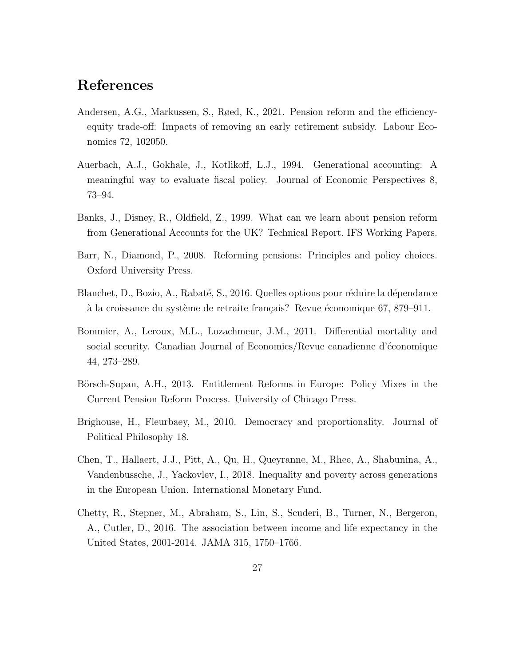### References

- <span id="page-29-9"></span>Andersen, A.G., Markussen, S., Røed, K., 2021. Pension reform and the efficiencyequity trade-off: Impacts of removing an early retirement subsidy. Labour Economics 72, 102050.
- <span id="page-29-3"></span>Auerbach, A.J., Gokhale, J., Kotlikoff, L.J., 1994. Generational accounting: A meaningful way to evaluate fiscal policy. Journal of Economic Perspectives 8, 73–94.
- <span id="page-29-4"></span>Banks, J., Disney, R., Oldfield, Z., 1999. What can we learn about pension reform from Generational Accounts for the UK? Technical Report. IFS Working Papers.
- <span id="page-29-2"></span>Barr, N., Diamond, P., 2008. Reforming pensions: Principles and policy choices. Oxford University Press.
- <span id="page-29-6"></span>Blanchet, D., Bozio, A., Rabaté, S., 2016. Quelles options pour réduire la dépendance à la croissance du système de retraite français? Revue économique 67, 879–911.
- <span id="page-29-5"></span>Bommier, A., Leroux, M.L., Lozachmeur, J.M., 2011. Differential mortality and social security. Canadian Journal of Economics/Revue canadienne d'économique 44, 273–289.
- <span id="page-29-0"></span>Börsch-Supan, A.H., 2013. Entitlement Reforms in Europe: Policy Mixes in the Current Pension Reform Process. University of Chicago Press.
- <span id="page-29-7"></span>Brighouse, H., Fleurbaey, M., 2010. Democracy and proportionality. Journal of Political Philosophy 18.
- <span id="page-29-1"></span>Chen, T., Hallaert, J.J., Pitt, A., Qu, H., Queyranne, M., Rhee, A., Shabunina, A., Vandenbussche, J., Yackovlev, I., 2018. Inequality and poverty across generations in the European Union. International Monetary Fund.
- <span id="page-29-8"></span>Chetty, R., Stepner, M., Abraham, S., Lin, S., Scuderi, B., Turner, N., Bergeron, A., Cutler, D., 2016. The association between income and life expectancy in the United States, 2001-2014. JAMA 315, 1750–1766.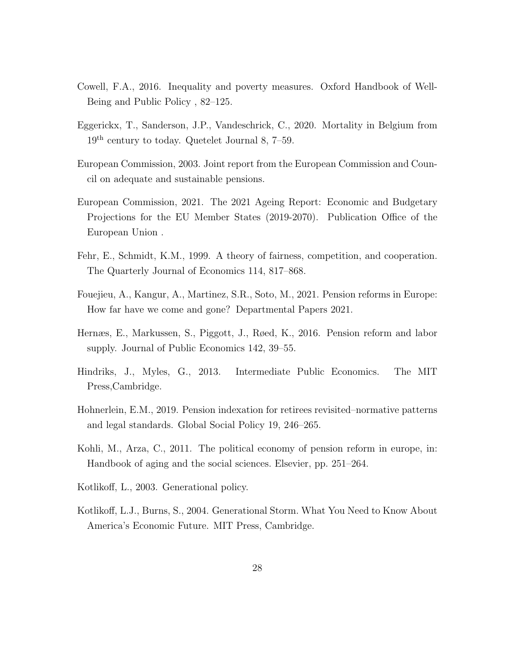- <span id="page-30-8"></span>Cowell, F.A., 2016. Inequality and poverty measures. Oxford Handbook of Well-Being and Public Policy , 82–125.
- <span id="page-30-10"></span>Eggerickx, T., Sanderson, J.P., Vandeschrick, C., 2020. Mortality in Belgium from 19th century to today. Quetelet Journal 8, 7–59.
- <span id="page-30-0"></span>European Commission, 2003. Joint report from the European Commission and Council on adequate and sustainable pensions.
- <span id="page-30-1"></span>European Commission, 2021. The 2021 Ageing Report: Economic and Budgetary Projections for the EU Member States (2019-2070). Publication Office of the European Union .
- <span id="page-30-7"></span>Fehr, E., Schmidt, K.M., 1999. A theory of fairness, competition, and cooperation. The Quarterly Journal of Economics 114, 817–868.
- <span id="page-30-3"></span>Fouejieu, A., Kangur, A., Martinez, S.R., Soto, M., 2021. Pension reforms in Europe: How far have we come and gone? Departmental Papers 2021.
- <span id="page-30-11"></span>Hernæs, E., Markussen, S., Piggott, J., Røed, K., 2016. Pension reform and labor supply. Journal of Public Economics 142, 39–55.
- <span id="page-30-9"></span>Hindriks, J., Myles, G., 2013. Intermediate Public Economics. The MIT Press,Cambridge.
- <span id="page-30-6"></span>Hohnerlein, E.M., 2019. Pension indexation for retirees revisited–normative patterns and legal standards. Global Social Policy 19, 246–265.
- <span id="page-30-4"></span>Kohli, M., Arza, C., 2011. The political economy of pension reform in europe, in: Handbook of aging and the social sciences. Elsevier, pp. 251–264.
- <span id="page-30-5"></span>Kotlikoff, L., 2003. Generational policy.
- <span id="page-30-2"></span>Kotlikoff, L.J., Burns, S., 2004. Generational Storm. What You Need to Know About America's Economic Future. MIT Press, Cambridge.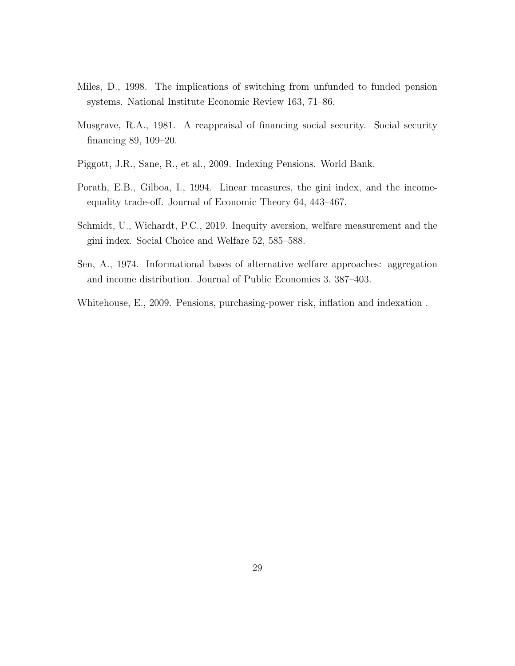- <span id="page-31-0"></span>Miles, D., 1998. The implications of switching from unfunded to funded pension systems. National Institute Economic Review 163, 71–86.
- <span id="page-31-6"></span>Musgrave, R.A., 1981. A reappraisal of financing social security. Social security financing 89, 109–20.
- <span id="page-31-2"></span>Piggott, J.R., Sane, R., et al., 2009. Indexing Pensions. World Bank.
- <span id="page-31-5"></span>Porath, E.B., Gilboa, I., 1994. Linear measures, the gini index, and the incomeequality trade-off. Journal of Economic Theory 64, 443–467.
- <span id="page-31-3"></span>Schmidt, U., Wichardt, P.C., 2019. Inequity aversion, welfare measurement and the gini index. Social Choice and Welfare 52, 585–588.
- <span id="page-31-4"></span>Sen, A., 1974. Informational bases of alternative welfare approaches: aggregation and income distribution. Journal of Public Economics 3, 387–403.
- <span id="page-31-1"></span>Whitehouse, E., 2009. Pensions, purchasing-power risk, inflation and indexation .